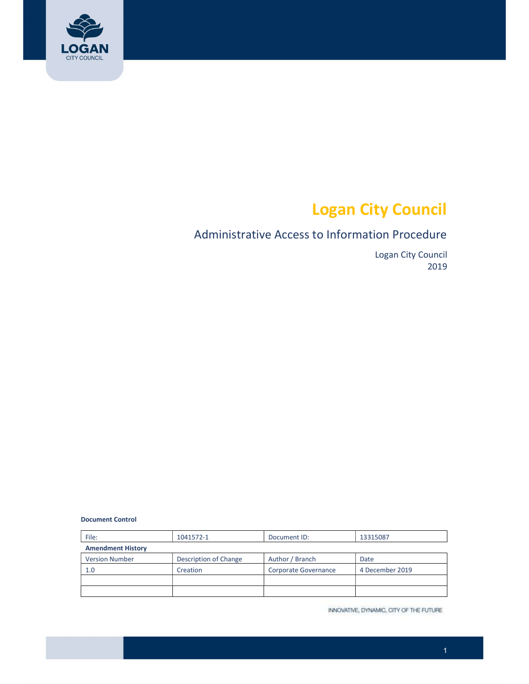

# Logan City Council

# Administrative Access to Information Procedure

 Logan City Council 2019

Document Control

| File:                    | 1041572-1             | Document ID:         | 13315087        |  |  |
|--------------------------|-----------------------|----------------------|-----------------|--|--|
| <b>Amendment History</b> |                       |                      |                 |  |  |
| <b>Version Number</b>    | Description of Change | Author / Branch      | Date            |  |  |
| 1.0                      | Creation              | Corporate Governance | 4 December 2019 |  |  |
|                          |                       |                      |                 |  |  |
|                          |                       |                      |                 |  |  |

INNOVATIVE, DYNAMIC, CITY OF THE FUTURE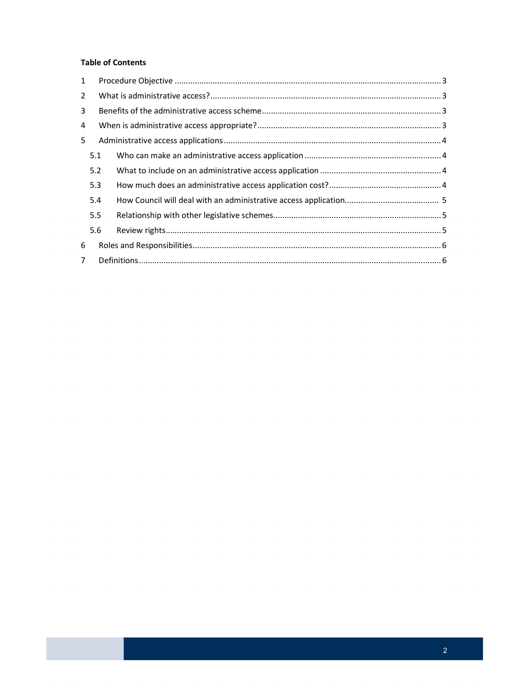#### **Table of Contents**

| $\mathbf{1}$   |     |  |  |  |  |  |
|----------------|-----|--|--|--|--|--|
| $\overline{2}$ |     |  |  |  |  |  |
| 3              |     |  |  |  |  |  |
| 4              |     |  |  |  |  |  |
| 5              |     |  |  |  |  |  |
|                | 5.1 |  |  |  |  |  |
|                | 5.2 |  |  |  |  |  |
|                | 5.3 |  |  |  |  |  |
|                | 5.4 |  |  |  |  |  |
|                | 5.5 |  |  |  |  |  |
|                | 5.6 |  |  |  |  |  |
| 6              |     |  |  |  |  |  |
| $\overline{7}$ |     |  |  |  |  |  |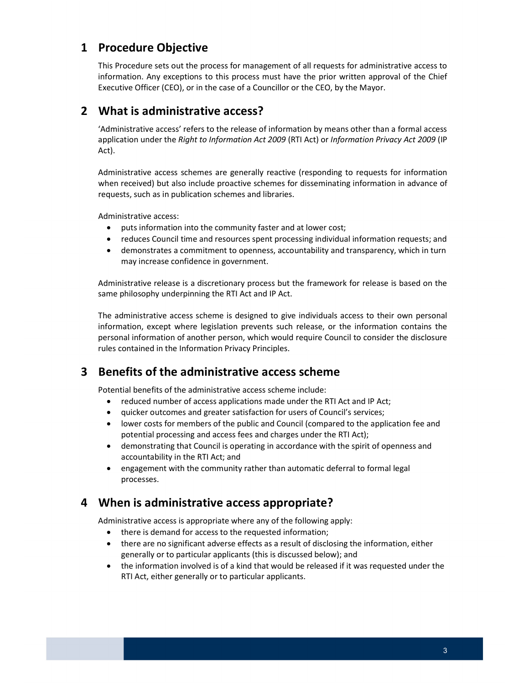## <span id="page-2-0"></span>1 Procedure Objective

 This Procedure sets out the process for management of all requests for administrative access to information. Any exceptions to this process must have the prior written approval of the Chief Executive Officer (CEO), or in the case of a Councillor or the CEO, by the Mayor.

### 2 What is administrative access?

 'Administrative access' refers to the release of information by means other than a formal access application under the Right to Information Act 2009 (RTI Act) or Information Privacy Act 2009 (IP Act).

 Administrative access schemes are generally reactive (responding to requests for information when received) but also include proactive schemes for disseminating information in advance of requests, such as in publication schemes and libraries.

Administrative access:

- puts information into the community faster and at lower cost;
- reduces Council time and resources spent processing individual information requests; and
- demonstrates a commitment to openness, accountability and transparency, which in turn may increase confidence in government.

 Administrative release is a discretionary process but the framework for release is based on the same philosophy underpinning the RTI Act and IP Act.

 The administrative access scheme is designed to give individuals access to their own personal information, except where legislation prevents such release, or the information contains the personal information of another person, which would require Council to consider the disclosure rules contained in the Information Privacy Principles.

# 3 Benefits of the administrative access scheme

Potential benefits of the administrative access scheme include:

- reduced number of access applications made under the RTI Act and IP Act;
- quicker outcomes and greater satisfaction for users of Council's services;
- lower costs for members of the public and Council (compared to the application fee and potential processing and access fees and charges under the RTI Act);
- demonstrating that Council is operating in accordance with the spirit of openness and accountability in the RTI Act; and
- engagement with the community rather than automatic deferral to formal legal processes.

## 4 When is administrative access appropriate?

Administrative access is appropriate where any of the following apply:

- there is demand for access to the requested information;
- there are no significant adverse effects as a result of disclosing the information, either generally or to particular applicants (this is discussed below); and
- the information involved is of a kind that would be released if it was requested under the RTI Act, either generally or to particular applicants.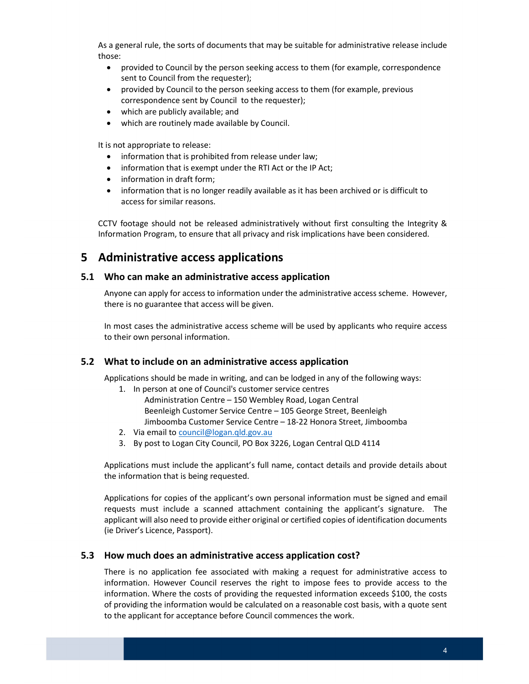<span id="page-3-0"></span> As a general rule, the sorts of documents that may be suitable for administrative release include those:

- provided to Council by the person seeking access to them (for example, correspondence sent to Council from the requester);
- provided by Council to the person seeking access to them (for example, previous correspondence sent by Council to the requester);
- which are publicly available; and
- which are routinely made available by Council.

It is not appropriate to release:

- information that is prohibited from release under law;
- information that is exempt under the RTI Act or the IP Act;
- information in draft form;
- information that is no longer readily available as it has been archived or is difficult to access for similar reasons.

 CCTV footage should not be released administratively without first consulting the Integrity & Information Program, to ensure that all privacy and risk implications have been considered.

## 5 Administrative access applications

#### 5.1 Who can make an administrative access application

 Anyone can apply for access to information under the administrative access scheme. However, there is no guarantee that access will be given.

 In most cases the administrative access scheme will be used by applicants who require access to their own personal information.

#### 5.2 What to include on an administrative access application

Applications should be made in writing, and can be lodged in any of the following ways:

- 1. In person at one of Council's customer service centres Beenleigh Customer Service Centre – 105 George Street, Beenleigh Administration Centre – 150 Wembley Road, Logan Central Jimboomba Customer Service Centre – 18-22 Honora Street, Jimboomba
- 2. Via email to [council@logan.qld.gov.au](mailto:council@logan.qld.gov.au)
- 3. By post to Logan City Council, PO Box 3226, Logan Central QLD 4114

 Applications must include the applicant's full name, contact details and provide details about the information that is being requested.

 Applications for copies of the applicant's own personal information must be signed and email requests must include a scanned attachment containing the applicant's signature. The applicant will also need to provide either original or certified copies of identification documents (ie Driver's Licence, Passport).

#### 5.3 How much does an administrative access application cost?

 There is no application fee associated with making a request for administrative access to information. However Council reserves the right to impose fees to provide access to the information. Where the costs of providing the requested information exceeds \$100, the costs of providing the information would be calculated on a reasonable cost basis, with a quote sent to the applicant for acceptance before Council commences the work.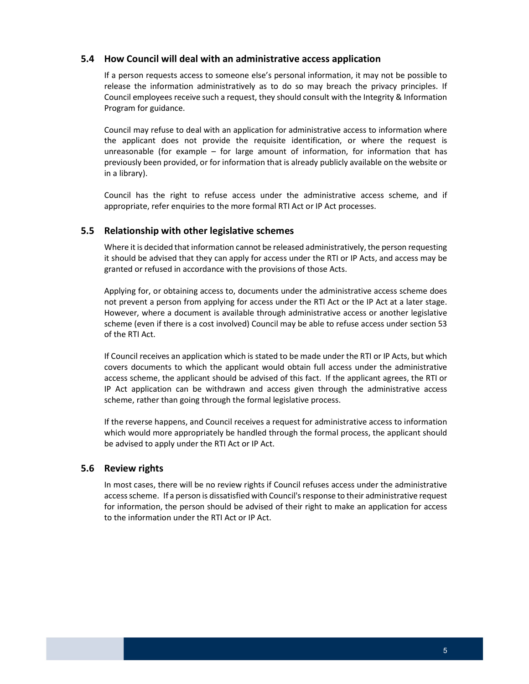#### <span id="page-4-0"></span>5.4 How Council will deal with an administrative access application

 If a person requests access to someone else's personal information, it may not be possible to release the information administratively as to do so may breach the privacy principles. If Council employees receive such a request, they should consult with the Integrity & Information Program for guidance.

 Council may refuse to deal with an application for administrative access to information where the applicant does not provide the requisite identification, or where the request is unreasonable (for example – for large amount of information, for information that has previously been provided, or for information that is already publicly available on the website or in a library).

 Council has the right to refuse access under the administrative access scheme, and if appropriate, refer enquiries to the more formal RTI Act or IP Act processes.

#### 5.5 Relationship with other legislative schemes

 Where it is decided that information cannot be released administratively, the person requesting it should be advised that they can apply for access under the RTI or IP Acts, and access may be granted or refused in accordance with the provisions of those Acts.

 Applying for, or obtaining access to, documents under the administrative access scheme does not prevent a person from applying for access under the RTI Act or the IP Act at a later stage. However, where a document is available through administrative access or another legislative scheme (even if there is a cost involved) Council may be able to refuse access under section 53 of the RTI Act.

 If Council receives an application which is stated to be made under the RTI or IP Acts, but which covers documents to which the applicant would obtain full access under the administrative access scheme, the applicant should be advised of this fact. If the applicant agrees, the RTI or IP Act application can be withdrawn and access given through the administrative access scheme, rather than going through the formal legislative process.

 If the reverse happens, and Council receives a request for administrative access to information which would more appropriately be handled through the formal process, the applicant should be advised to apply under the RTI Act or IP Act.

#### 5.6 Review rights

 In most cases, there will be no review rights if Council refuses access under the administrative accessscheme. If a person is dissatisfied with Council'sresponse to their administrative request for information, the person should be advised of their right to make an application for access to the information under the RTI Act or IP Act.